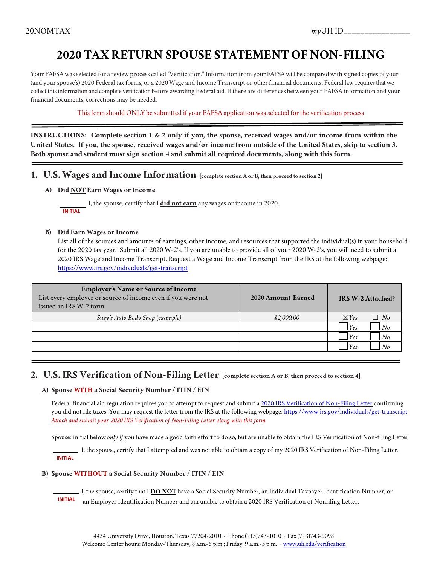# **2020 TAX RETURN SPOUSE STATEMENT OF NON-FILING**

Your FAFSA was selected for a review process called "Verification." Information from your FAFSA will be compared with signed copies of your (and your spouse's) 2020 Federal tax forms, or a 2020 Wage and Income Transcript or other financial documents. Federal law requires that we collect this information and complete verification before awarding Federal aid. If there are differences between your FAFSA information and your financial documents, corrections may be needed.

This form should ONLY be submitted if your FAFSA application was selected forthe verification process

**INSTRUCTIONS: Complete section 1 & 2 only if you, the spouse, received wages and/or income from within the United States. If you, the spouse, received wages and/or income from outside of the United States, skip to section 3. Both spouse and student must sign section 4 and submit all required documents, along with this form.**

- **1. U.S. Wages and Income Information [complete section A or B, then proceed to section 2]**
	- **A) Did NOT Earn Wages or Income**

 I, the spouse, certify that I **did not earn** any wages or income in 2020.  **INITIAL**

#### **B) Did Earn Wages or Income**

List all of the sources and amounts of earnings, other income, and resources that supported the individual(s) in your household for the 2020 tax year. Submit all 2020 W-2's. If you are unable to provide all of your 2020 W-2's, you will need to submit a 2020 IRS Wage and Income Transcript. Request a Wage and Income Transcript from the IRS at the following webpage: <https://www.irs.gov/individuals/get-transcript>

| <b>Employer's Name or Source of Income</b><br>List every employer or source of income even if you were not<br>issued an IRS W-2 form. | 2020 Amount Earned | <b>IRS W-2 Attached?</b>     |
|---------------------------------------------------------------------------------------------------------------------------------------|--------------------|------------------------------|
| Suzy's Auto Body Shop (example)                                                                                                       | \$2,000.00         | $\boxtimes$ Yes<br>$\Box$ No |
|                                                                                                                                       |                    | <i>Yes</i><br>No             |
|                                                                                                                                       |                    | $Y$ es<br>No                 |
|                                                                                                                                       |                    | $ V_{\rho}$                  |

### **2. U.S. IRS Verification of Non-Filing Letter [complete section A or B, then proceed to section 4]**

#### **A) Spouse WITH a Social Security Number / ITIN / EIN**

Federal financial aid regulation requires you to attempt to request and submit a 2020 [IRS Verification of Non-Filing Letter](https://www.irs.gov/individuals/get-transcript) confirming you did not file taxes. You may request the letter from the IRS at the following webpage[: https://www.irs.gov/individuals/get-transcript](https://www.irs.gov/individuals/get-transcript) *Attach and submit your 2020 IRS Verification of Non-Filing Letter along with this form*

Spouse: initial below *only if* you have made a good faith effort to do so, but are unable to obtain the IRS Verification of Non-filing Letter

 I, the spouse, certify that I attempted and was not able to obtain a copy of my 2020 IRS Verification of Non-Filing Letter.  **INITIAL**

#### **B) Spouse WITHOUT a Social Security Number / ITIN / EIN**

 I, the spouse, certify that I **DO NOT** have a Social Security Number, an Individual Taxpayer Identification Number, or  **INITIAL** an Employer Identification Number and am unable to obtain a 2020 IRS Verification of Nonfiling Letter.